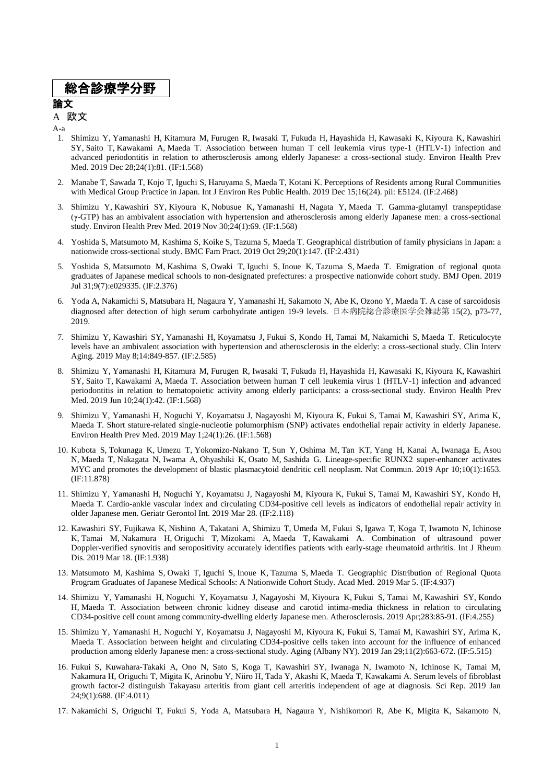## 総合診療学分野

### 論文

#### A 欧文

A-a

- 1. Shimizu Y, Yamanashi H, Kitamura M, Furugen R, Iwasaki T, Fukuda H, Hayashida H, Kawasaki K, Kiyoura K, Kawashiri SY, Saito T, Kawakami A, Maeda T. Association between human T cell leukemia virus type-1 (HTLV-1) infection and advanced periodontitis in relation to atherosclerosis among elderly Japanese: a cross-sectional study. Environ Health Prev Med. 2019 Dec 28;24(1):81. (IF:1.568)
- 2. Manabe T, Sawada T, Kojo T, Iguchi S, Haruyama S, Maeda T, Kotani K. Perceptions of Residents among Rural Communities with Medical Group Practice in Japan. Int J Environ Res Public Health. 2019 Dec 15;16(24). pii: E5124. (IF:2.468)
- 3. Shimizu Y, Kawashiri SY, Kiyoura K, Nobusue K, Yamanashi H, Nagata Y, Maeda T. Gamma-glutamyl transpeptidase (γ-GTP) has an ambivalent association with hypertension and atherosclerosis among elderly Japanese men: a cross-sectional study. Environ Health Prev Med. 2019 Nov 30;24(1):69. (IF:1.568)
- 4. Yoshida S, Matsumoto M, Kashima S, Koike S, Tazuma S, Maeda T. Geographical distribution of family physicians in Japan: a nationwide cross-sectional study. BMC Fam Pract. 2019 Oct 29;20(1):147. (IF:2.431)
- 5. Yoshida S, Matsumoto M, Kashima S, Owaki T, Iguchi S, Inoue K, Tazuma S, Maeda T. Emigration of regional quota graduates of Japanese medical schools to non-designated prefectures: a prospective nationwide cohort study. BMJ Open. 2019 Jul 31;9(7):e029335. (IF:2.376)
- 6. Yoda A, Nakamichi S, Matsubara H, Nagaura Y, Yamanashi H, Sakamoto N, Abe K, Ozono Y, Maeda T. A case of sarcoidosis diagnosed after detection of high serum carbohydrate antigen 19-9 levels. 日本病院総合診療医学会雑誌第 15(2), p73-77, 2019.
- 7. Shimizu Y, Kawashiri SY, Yamanashi H, Koyamatsu J, Fukui S, Kondo H, Tamai M, Nakamichi S, Maeda T. Reticulocyte levels have an ambivalent association with hypertension and atherosclerosis in the elderly: a cross-sectional study. Clin Interv Aging. 2019 May 8;14:849-857. (IF:2.585)
- 8. Shimizu Y, Yamanashi H, Kitamura M, Furugen R, Iwasaki T, Fukuda H, Hayashida H, Kawasaki K, Kiyoura K, Kawashiri SY, Saito T, Kawakami A, Maeda T. Association between human T cell leukemia virus 1 (HTLV-1) infection and advanced periodontitis in relation to hematopoietic activity among elderly participants: a cross-sectional study. Environ Health Prev Med. 2019 Jun 10;24(1):42. (IF:1.568)
- 9. Shimizu Y, Yamanashi H, Noguchi Y, Koyamatsu J, Nagayoshi M, Kiyoura K, Fukui S, Tamai M, Kawashiri SY, Arima K, Maeda T. Short stature-related single-nucleotie polumorphism (SNP) activates endothelial repair activity in elderly Japanese. Environ Health Prev Med. 2019 May 1;24(1):26. (IF:1.568)
- 10. Kubota S, Tokunaga K, Umezu T, Yokomizo-Nakano T, Sun Y, Oshima M, Tan KT, Yang H, Kanai A, Iwanaga E, Asou N, Maeda T, Nakagata N, Iwama A, Ohyashiki K, Osato M, Sashida G. Lineage-specific RUNX2 super-enhancer activates MYC and promotes the development of blastic plasmacytoid dendritic cell neoplasm. Nat Commun. 2019 Apr 10;10(1):1653. (IF:11.878)
- 11. Shimizu Y, Yamanashi H, Noguchi Y, Koyamatsu J, Nagayoshi M, Kiyoura K, Fukui S, Tamai M, Kawashiri SY, Kondo H, Maeda T. Cardio-ankle vascular index and circulating CD34-positive cell levels as indicators of endothelial repair activity in older Japanese men. Geriatr Gerontol Int. 2019 Mar 28. (IF:2.118)
- 12. Kawashiri SY, Fujikawa K, Nishino A, Takatani A, Shimizu T, Umeda M, Fukui S, Igawa T, Koga T, Iwamoto N, Ichinose K, Tamai M, Nakamura H, Origuchi T, Mizokami A, Maeda T, Kawakami A. Combination of ultrasound power Doppler-verified synovitis and seropositivity accurately identifies patients with early-stage rheumatoid arthritis. Int J Rheum Dis. 2019 Mar 18. (IF:1.938)
- 13. Matsumoto M, Kashima S, Owaki T, Iguchi S, Inoue K, Tazuma S, Maeda T. Geographic Distribution of Regional Quota Program Graduates of Japanese Medical Schools: A Nationwide Cohort Study. Acad Med. 2019 Mar 5. (IF:4.937)
- 14. Shimizu Y, Yamanashi H, Noguchi Y, Koyamatsu J, Nagayoshi M, Kiyoura K, Fukui S, Tamai M, Kawashiri SY, Kondo H, Maeda T. Association between chronic kidney disease and carotid intima-media thickness in relation to circulating CD34-positive cell count among community-dwelling elderly Japanese men. Atherosclerosis. 2019 Apr;283:85-91. (IF:4.255)
- 15. Shimizu Y, Yamanashi H, Noguchi Y, Koyamatsu J, Nagayoshi M, Kiyoura K, Fukui S, Tamai M, Kawashiri SY, Arima K, Maeda T. Association between height and circulating CD34-positive cells taken into account for the influence of enhanced production among elderly Japanese men: a cross-sectional study. Aging (Albany NY). 2019 Jan 29;11(2):663-672. (IF:5.515)
- 16. Fukui S, Kuwahara-Takaki A, Ono N, Sato S, Koga T, Kawashiri SY, Iwanaga N, Iwamoto N, Ichinose K, Tamai M, Nakamura H, Origuchi T, Migita K, Arinobu Y, Niiro H, Tada Y, Akashi K, Maeda T, Kawakami A. Serum levels of fibroblast growth factor-2 distinguish Takayasu arteritis from giant cell arteritis independent of age at diagnosis. Sci Rep. 2019 Jan 24;9(1):688. (IF:4.011)
- 17. Nakamichi S, Origuchi T, Fukui S, Yoda A, Matsubara H, Nagaura Y, Nishikomori R, Abe K, Migita K, Sakamoto N,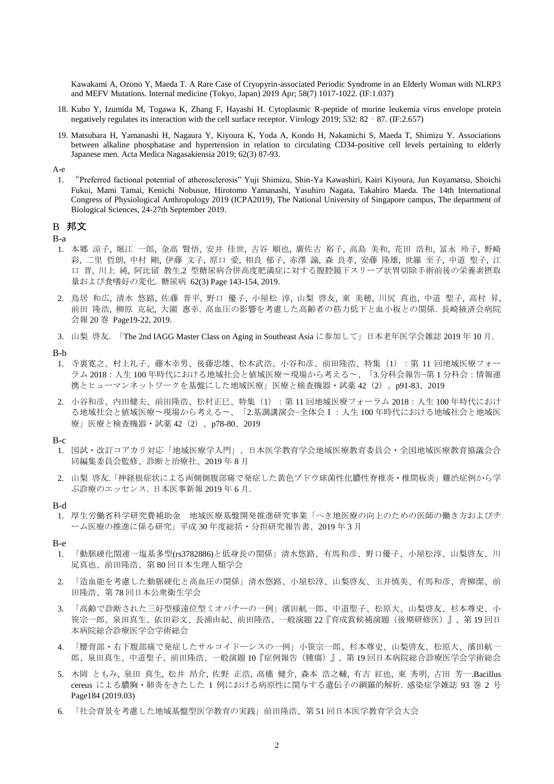Kawakami A, Ozono Y, Maeda T. A Rare Case of Cryopyrin-associated Periodic Syndrome in an Elderly Woman with NLRP3 and MEFV Mutations. Internal medicine (Tokyo, Japan) 2019 Apr; 58(7) 1017-1022. (IF:1.037)

- 18. Kubo Y, Izumida M, Togawa K, Zhang F, Hayashi H. Cytoplasmic R-peptide of murine leukemia virus envelope protein negatively regulates its interaction with the cell surface receptor. Virology 2019; 532: 82 - 87. (IF:2.657)
- 19. Matsubara H, Yamanashi H, Nagaura Y, Kiyoura K, Yoda A, Kondo H, Nakamichi S, Maeda T, Shimizu Y. Associations between alkaline phosphatase and hypertension in relation to circulating CD34-positive cell levels pertaining to elderly Japanese men. Acta Medica Nagasakiensia 2019; 62(3) 87-93.

A-e

1. "Preferred factional potential of atherosclerosis" Yuji Shimizu, Shin-Ya Kawashiri, Kairi Kiyoura, Jun Koyamatsu, Shoichi Fukui, Mami Tamai, Kenichi Nobusue, Hirotomo Yamanashi, Yasuhiro Nagata, Takahiro Maeda. The 14th International Congress of Physiological Anthropology 2019 (ICPA2019), The National University of Singapore campus, The department of Biological Sciences, 24-27th September 2019.

#### B 邦文

B-a

- 1. 本郷 涼子, 堀江 一郎, 金高 賢悟, 安井 佳世, 古谷 順也, 廣佐古 裕子, 高島 美和, 花田 浩和, 冨永 玲子, 野崎 彩, 二里 哲朗, 中村 剛, 伊藤 文子, 原口 愛, 相良 郁子, 赤澤 諭, 森 良孝, 安藤 隆雄, 世羅 至子, 中道 聖子, 江 口 晋, 川上 純, 阿比留 教生.2 型糖尿病合併高度肥満症に対する腹腔鏡下スリーブ状胃切除手術前後の栄養素摂取 量および食嗜好の変化. 糖尿病 62(3) Page 143-154, 2019.
- 2. 鳥居 和広, 清水 悠路, 佐藤 晋平, 野口 優子, 小屋松 淳, 山梨 啓友, 東 美穂, 川尻 真也, 中道 聖子, 高村 昇, 前田 隆浩, 柳原 克紀, 大園 惠幸. 高血圧の影響を考慮した高齢者の筋力低下と血小板との関係. 長崎掖済会病院 会報 20 巻 Page19-22, 2019.
- 3. 山梨 啓友. 「The 2nd IAGG Master Class on Aging in Southeast Asia に参加して」日本老年医学会雑誌 2019 年 10 月.
- B-b
- 1. 寺裏寛之、村上礼子、藤本幸男、後藤忠雄、松本武浩、小谷和彦、前田隆浩、特集(1):第 11 回地域医療フォー ラム 2018:人生 100 年時代における地域社会と値域医療〜現場から考える〜、「3.分科会報告−第 1 分科会:情報連 携とヒューマンネットワークを基盤にした地域医療」医療と検査機器・試薬 42 (2)、p91-83、2019
- 2. 小谷和彦、内田健夫、前田隆浩、松村正巳、特集(1):第 11 回地域医療フォーラム 2018:人生 100 年時代におけ る地域社会と値域医療〜現場から考える〜、「2.基調講演会−全体会Ⅰ:人生 100 年時代における地域社会と地域医 療」医療と検査機器·試薬 42 (2)、p78-80、2019

B-c

- 1. 国試・改訂コアカリ対応「地域医療学入門」、日本医学教育学会地域医療教育委員会・全国地域医療教育協議会合 同編集委員会監修、診断と治療社、2019 年 8 月
- 2. 山梨 啓友.「神経根症状による両側側腹部痛で発症した黄色ブドウ球菌性化膿性脊椎炎・椎間板炎」難渋症例から学 ぶ診療のエッセンス. 日本医事新報 2019 年 6 月.
- B-d
- 1. 厚生労働省科学研究費補助金 地域医療基盤開発推進研究事業「へき地医療の向上のための医師の働き方およびチ ーム医療の推進に係る研究」平成 30 年度総括・分担研究報告書、2019 年 3 月

B-e

- 1. 「動脈硬化関連一塩基多型(rs3782886)と低身長の関係」清水悠路、有馬和彦、野口優子、小屋松淳、山梨啓友、川 㞍真也、前田隆浩、第 80 回日本生理人類学会
- 2. 「造血能を考慮した動脈硬化と高血圧の関係」清水悠路、小屋松淳、山梨啓友、玉井慎美、有馬和彦、青柳潔、前 田隆浩、第 78 回日本公衆衛生学会
- 3. 「高齢で診断された三好型様遠位型ミオパチーの一例」濱田航一郎、中道聖子、松原大、山梨啓友、杉本尊史、小 笹宗一郎、泉田真生、依田彩文、長浦由紀、前田隆浩、一般演題 22『育成賞候補演題(後期研修医)』、第 19 回日 本病院総合診療医学会学術総会
- 4. 「腰背部・右下腹部痛で発症したサルコイドーシスの一例」小笹宗一郎、杉本尊史、山梨啓友、松原大、濱田航一 郎、泉田真生、中道聖子、前田隆浩、一般演題 10『症例報告(腫瘍)』、第 19 回日本病院総合診療医学会学術総会
- 5. 木岡 ともみ, 泉田 真生, 松井 昂介, 佐野 正浩, 高橋 健介, 森本 浩之輔, 有吉 紅也, 東 秀明, 古田 芳一.Bacillus cereus による膿胸・肺炎をきたした 1 例における病原性に関与する遺伝子の網羅的解析. 感染症学雑誌 93 巻 2 号 Page184 (2019.03)
- 6. 「社会背景を考慮した地域基盤型医学教育の実践」前田隆浩、第 51 回日本医学教育学会大会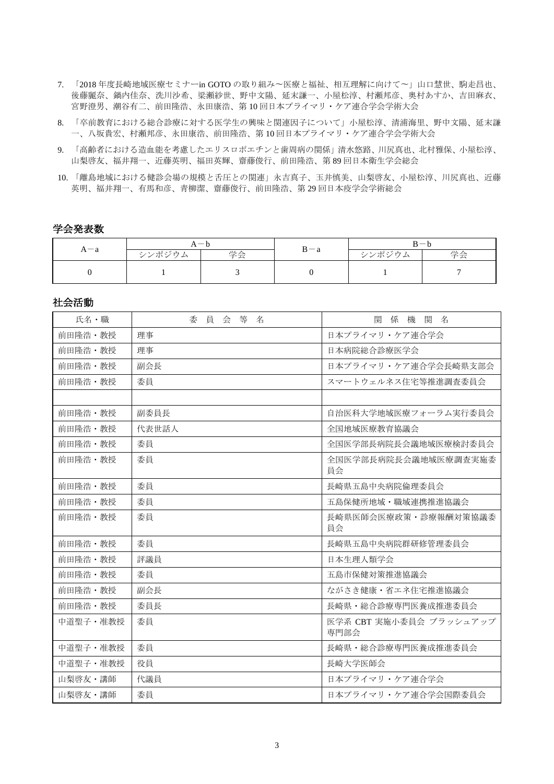- 7. 「2018 年度長崎地域医療セミナーin GOTO の取り組み〜医療と福祉、相互理解に向けて〜」山口慧世、駒走昌也、 後藤麗奈、鍋内佳奈、洗川沙希、梁瀬紗世、野中文陽、延末謙一、小屋松淳、村瀬邦彦、奥村あすか、吉田麻衣、 宮野澄男、潮谷有二、前田隆浩、永田康浩、第 10 回日本プライマリ・ケア連合学会学術大会
- 8. 「卒前教育における総合診療に対する医学生の興味と関連因子について」小屋松淳、清浦海里、野中文陽、延末謙 一、八坂貴宏、村瀬邦彦、永田康浩、前田隆浩、第 10 回日本プライマリ・ケア連合学会学術大会
- 9. 「高齢者における造血能を考慮したエリスロポエチンと歯周病の関係」清水悠路、川尻真也、北村雅保、小屋松淳、 山梨啓友、福井翔一、近藤英明、福田英輝、齋藤俊行、前田隆浩、第 89 回日本衛生学会総会
- 10. 「離島地域における健診会場の規模と舌圧との関連」永吉真子、玉井慎美、山梨啓友、小屋松淳、川尻真也、近藤 英明、福井翔一、有馬和彦、青柳潔、齋藤俊行、前田隆浩、第 29 回日本疫学会学術総会

### 学会発表数

| $A - a$ | $A - b$ |    |         | $B - b$ |    |
|---------|---------|----|---------|---------|----|
|         | シンポジウム  | 学会 | $B - a$ | シンポジウム  | 学会 |
|         |         |    |         |         |    |

### 社会活動

| 氏名・職     | 委員会等名 | 係 機 関 名<br>閣                    |
|----------|-------|---------------------------------|
| 前田降浩・教授  | 理事    | 日本プライマリ・ケア連合学会                  |
| 前田隆浩・教授  | 理事    | 日本病院総合診療医学会                     |
| 前田隆浩・教授  | 副会長   | 日本プライマリ・ケア連合学会長崎県支部会            |
| 前田隆浩・教授  | 委員    | スマートウェルネス住宅等推進調査委員会             |
|          |       |                                 |
| 前田降浩・教授  | 副委員長  | 自治医科大学地域医療フォーラム実行委員会            |
| 前田隆浩・教授  | 代表世話人 | 全国地域医療教育協議会                     |
| 前田隆浩·教授  | 委員    | 全国医学部長病院長会議地域医療検討委員会            |
| 前田隆浩・教授  | 委員    | 全国医学部長病院長会議地域医療調査実施委<br>員会      |
| 前田降浩・教授  | 委員    | 長崎県五島中央病院倫理委員会                  |
| 前田降浩・教授  | 委員    | 五島保健所地域·職域連携推進協議会               |
| 前田降浩・教授  | 委員    | 長崎県医師会医療政策・診療報酬対策協議委<br>員会      |
| 前田降浩・教授  | 委員    | 長崎県五島中央病院群研修管理委員会               |
| 前田降浩・教授  | 評議員   | 日本生理人類学会                        |
| 前田隆浩・教授  | 委員    | 五島市保健対策推進協議会                    |
| 前田隆浩・教授  | 副会長   | ながさき健康・省エネ住宅推進協議会               |
| 前田隆浩・教授  | 委員長   | 長崎県・総合診療専門医養成推進委員会              |
| 中道聖子・准教授 | 委員    | 医学系 CBT 実施小委員会 ブラッシュアップ<br>専門部会 |
| 中道聖子·准教授 | 委員    | 長崎県・総合診療専門医養成推進委員会              |
| 中道聖子・准教授 | 役員    | 長崎大学医師会                         |
| 山梨啓友・講師  | 代議員   | 日本プライマリ・ケア連合学会                  |
| 山梨啓友・講師  | 委員    | 日本プライマリ・ケア連合学会国際委員会             |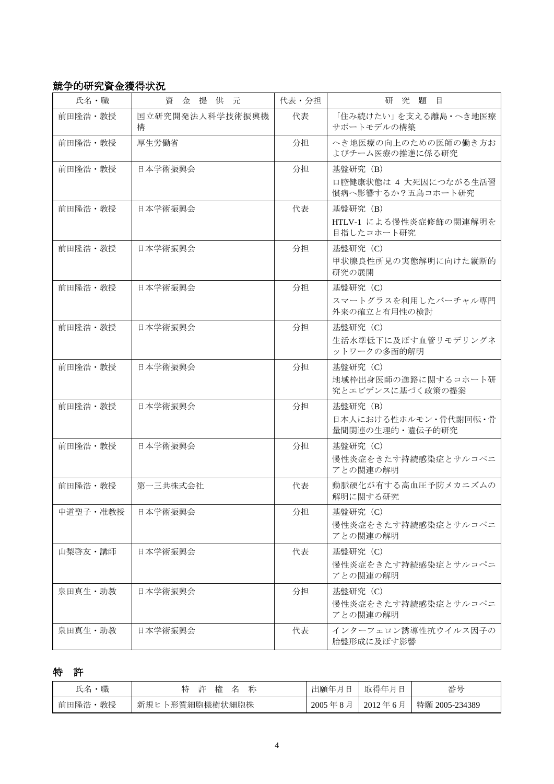## 競争的研究資金獲得状況

| 氏名·職     | 資金提供元                | 代表・分担 | 研究題目                                                   |
|----------|----------------------|-------|--------------------------------------------------------|
| 前田降浩・教授  | 国立研究開発法人科学技術振興機<br>構 | 代表    | 「住み続けたい」を支える離島・へき地医療<br>サポートモデルの構築                     |
| 前田隆浩・教授  | 厚生労働省                | 分担    | へき地医療の向上のための医師の働き方お<br>よびチーム医療の推進に係る研究                 |
| 前田隆浩・教授  | 日本学術振興会              | 分担    | 基盤研究 (B)<br>口腔健康状態は 4 大死因につながる生活習<br>慣病へ影響するか?五島コホート研究 |
| 前田隆浩・教授  | 日本学術振興会              | 代表    | 基盤研究 (B)<br>HTLV-1 による慢性炎症修飾の関連解明を<br>目指したコホート研究       |
| 前田隆浩・教授  | 日本学術振興会              | 分担    | 基盤研究 (C)<br>甲状腺良性所見の実態解明に向けた縦断的<br>研究の展開               |
| 前田隆浩・教授  | 日本学術振興会              | 分担    | 基盤研究 (C)<br>スマートグラスを利用したバーチャル専門<br>外来の確立と有用性の検討        |
| 前田隆浩・教授  | 日本学術振興会              | 分担    | 基盤研究 (C)<br>生活水準低下に及ぼす血管リモデリングネ<br>ットワークの多面的解明         |
| 前田隆浩・教授  | 日本学術振興会              | 分担    | 基盤研究 (C)<br>地域枠出身医師の進路に関するコホート研<br>究とエビデンスに基づく政策の提案    |
| 前田隆浩・教授  | 日本学術振興会              | 分担    | 基盤研究 (B)<br>日本人における性ホルモン·骨代謝回転·骨<br>量間関連の生理的・遺伝子的研究    |
| 前田隆浩・教授  | 日本学術振興会              | 分担    | 基盤研究 (C)<br>慢性炎症をきたす持続感染症とサルコペニ<br>アとの関連の解明            |
| 前田隆浩・教授  | 第一三共株式会社             | 代表    | 動脈硬化が有する高血圧予防メカニズムの<br>解明に関する研究                        |
| 中道聖子·准教授 | 日本学術振興会              | 分担    | 基盤研究 (C)<br>慢性炎症をきたす持続感染症とサルコペニ<br>アとの関連の解明            |
| 山梨啓友・講師  | 日本学術振興会              | 代表    | 基盤研究 (C)<br>慢性炎症をきたす持続感染症とサルコペニ<br>アとの関連の解明            |
| 泉田真生・助教  | 日本学術振興会              | 分担    | 基盤研究 (C)<br>慢性炎症をきたす持続感染症とサルコペニ<br>アとの関連の解明            |
| 泉田真生・助教  | 日本学術振興会              | 代表    | インターフェロン誘導性抗ウイルス因子の<br>胎盤形成に及ぼす影響                      |

# 特 許

| 職<br>氏名    | 許<br>称<br>権        | 出願年月        | 取得年        | 番号             |
|------------|--------------------|-------------|------------|----------------|
| 教授<br>前田隆浩 | 卜形質細胞様樹状細胞株<br>新規ヒ | '年8<br>2005 | $2012$ 年 6 | 特願 2005-234389 |